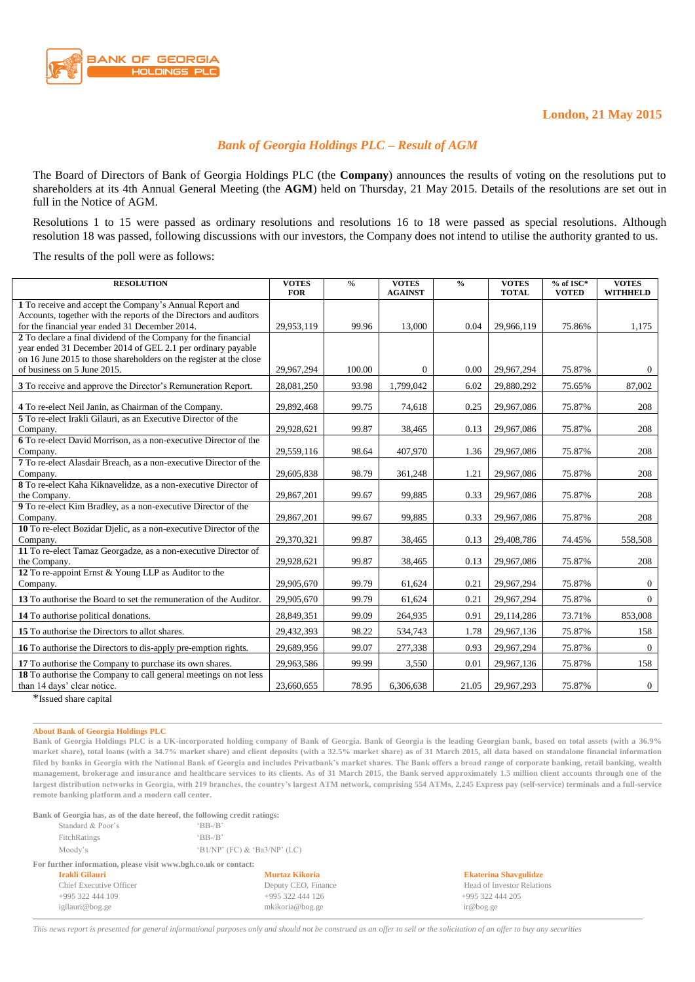

## *Bank of Georgia Holdings PLC – Result of AGM*

The Board of Directors of Bank of Georgia Holdings PLC (the **Company**) announces the results of voting on the resolutions put to shareholders at its 4th Annual General Meeting (the **AGM**) held on Thursday, 21 May 2015. Details of the resolutions are set out in full in the Notice of AGM.

Resolutions 1 to 15 were passed as ordinary resolutions and resolutions 16 to 18 were passed as special resolutions. Although resolution 18 was passed, following discussions with our investors, the Company does not intend to utilise the authority granted to us.

The results of the poll were as follows:

| <b>RESOLUTION</b>                                                                                                               | <b>VOTES</b><br><b>FOR</b> | $\frac{6}{6}$ | <b>VOTES</b><br><b>AGAINST</b> | $\frac{6}{6}$ | <b>VOTES</b><br><b>TOTAL</b> | $%$ of ISC*<br><b>VOTED</b> | <b>VOTES</b><br><b>WITHHELD</b> |
|---------------------------------------------------------------------------------------------------------------------------------|----------------------------|---------------|--------------------------------|---------------|------------------------------|-----------------------------|---------------------------------|
| 1 To receive and accept the Company's Annual Report and                                                                         |                            |               |                                |               |                              |                             |                                 |
| Accounts, together with the reports of the Directors and auditors<br>for the financial year ended 31 December 2014.             | 29,953,119                 | 99.96         | 13,000                         | 0.04          | 29,966,119                   | 75.86%                      | 1,175                           |
| 2 To declare a final dividend of the Company for the financial                                                                  |                            |               |                                |               |                              |                             |                                 |
| year ended 31 December 2014 of GEL 2.1 per ordinary payable                                                                     |                            |               |                                |               |                              |                             |                                 |
| on 16 June 2015 to those shareholders on the register at the close<br>of business on 5 June 2015.                               |                            |               |                                |               |                              |                             |                                 |
|                                                                                                                                 | 29.967.294                 | 100.00        | $\overline{0}$                 | 0.00          | 29,967,294                   | 75.87%                      | $\Omega$                        |
| 3 To receive and approve the Director's Remuneration Report.                                                                    | 28,081,250                 | 93.98         | 1,799,042                      | 6.02          | 29,880,292                   | 75.65%                      | 87,002                          |
| 4 To re-elect Neil Janin, as Chairman of the Company.                                                                           | 29,892,468                 | 99.75         | 74,618                         | 0.25          | 29,967,086                   | 75.87%                      | 208                             |
| 5 To re-elect Irakli Gilauri, as an Executive Director of the<br>Company.                                                       | 29,928,621                 | 99.87         |                                | 0.13          | 29,967,086                   | 75.87%                      | 208                             |
| 6 To re-elect David Morrison, as a non-executive Director of the                                                                |                            |               | 38,465                         |               |                              |                             |                                 |
| Company.                                                                                                                        | 29,559,116                 | 98.64         | 407,970                        | 1.36          | 29,967,086                   | 75.87%                      | 208                             |
| 7 To re-elect Alasdair Breach, as a non-executive Director of the                                                               |                            |               |                                |               |                              |                             |                                 |
| Company.                                                                                                                        | 29,605,838                 | 98.79         | 361,248                        | 1.21          | 29,967,086                   | 75.87%                      | 208                             |
| 8 To re-elect Kaha Kiknavelidze, as a non-executive Director of                                                                 |                            |               |                                | 0.33          |                              |                             |                                 |
| the Company.<br>9 To re-elect Kim Bradley, as a non-executive Director of the                                                   | 29,867,201                 | 99.67         | 99,885                         |               | 29,967,086                   | 75.87%                      | 208                             |
| Company.                                                                                                                        | 29,867,201                 | 99.67         | 99,885                         | 0.33          | 29,967,086                   | 75.87%                      | 208                             |
| 10 To re-elect Bozidar Djelic, as a non-executive Director of the                                                               |                            |               |                                |               |                              |                             |                                 |
| Company.                                                                                                                        | 29,370,321                 | 99.87         | 38,465                         | 0.13          | 29,408,786                   | 74.45%                      | 558,508                         |
| 11 To re-elect Tamaz Georgadze, as a non-executive Director of                                                                  |                            |               |                                |               |                              |                             |                                 |
| the Company.<br>12 To re-appoint Ernst & Young LLP as Auditor to the                                                            | 29,928,621                 | 99.87         | 38,465                         | 0.13          | 29,967,086                   | 75.87%                      | 208                             |
| Company.                                                                                                                        | 29,905,670                 | 99.79         | 61,624                         | 0.21          | 29,967,294                   | 75.87%                      | $\theta$                        |
| 13 To authorise the Board to set the remuneration of the Auditor.                                                               | 29,905,670                 | 99.79         | 61,624                         | 0.21          | 29,967,294                   | 75.87%                      | $\Omega$                        |
| 14 To authorise political donations.                                                                                            | 28,849,351                 | 99.09         | 264,935                        | 0.91          | 29,114,286                   | 73.71%                      | 853,008                         |
| 15 To authorise the Directors to allot shares.                                                                                  | 29,432,393                 | 98.22         | 534,743                        | 1.78          | 29,967,136                   | 75.87%                      | 158                             |
| 16 To authorise the Directors to dis-apply pre-emption rights.                                                                  | 29,689,956                 | 99.07         | 277,338                        | 0.93          | 29,967,294                   | 75.87%                      | $\overline{0}$                  |
| 17 To authorise the Company to purchase its own shares.                                                                         | 29,963,586                 | 99.99         | 3,550                          | 0.01          | 29,967,136                   | 75.87%                      | 158                             |
| 18 To authorise the Company to call general meetings on not less<br>than 14 days' clear notice.<br>$\pm 1$ , the set of $\pm 1$ | 23,660,655                 | 78.95         | 6,306,638                      | 21.05         | 29,967,293                   | 75.87%                      | $\mathbf{0}$                    |

\*Issued share capital

## **About Bank of Georgia Holdings PLC**

**Bank of Georgia Holdings PLC is a UK-incorporated holding company of Bank of Georgia. Bank of Georgia is the leading Georgian bank, based on total assets (with a 36.9% market share), total loans (with a 34.7% market share) and client deposits (with a 32.5% market share) as of 31 March 2015, all data based on standalone financial information filed by banks in Georgia with the National Bank of Georgia and includes Privatbank's market shares. The Bank offers a broad range of corporate banking, retail banking, wealth management, brokerage and insurance and healthcare services to its clients. As of 31 March 2015, the Bank served approximately 1.5 million client accounts through one of the largest distribution networks in Georgia, with 219 branches, the country's largest ATM network, comprising 554 ATMs, 2,245 Express pay (self-service) terminals and a full-service remote banking platform and a modern call center.** 

| Bank of Georgia has, as of the date hereof, the following credit ratings: |                                |                  |  |  |  |
|---------------------------------------------------------------------------|--------------------------------|------------------|--|--|--|
| Standard & Poor's                                                         | $B - B'$                       |                  |  |  |  |
| FitchRatings                                                              | $B - B'$                       |                  |  |  |  |
| Moody's                                                                   | $'B1/NP'$ (FC) & 'Ba3/NP' (LC) |                  |  |  |  |
| For further information, please visit www.bgh.co.uk or contact:           |                                |                  |  |  |  |
| Irakli Gilauri                                                            | <b>Murtaz Kikoria</b>          | <b>Ekaterina</b> |  |  |  |
| Chief Executive Officer                                                   | Deputy CEO, Finance            | Head of In       |  |  |  |
| +995 322 444 109                                                          | +995 322 444 126               | $+9953224$       |  |  |  |
| igilauri@bog.ge                                                           | mkikoria@bog.ge                | ir@bog.ge        |  |  |  |

**Irakli Gilauri Murtaz Kikoria Ekaterina Shavgulidze** Finance Head of Investor Relations  $+995\,322\,444\,205$ 

*This news report is presented for general informational purposes only and should not be construed as an offer to sell or the solicitation of an offer to buy any securities*